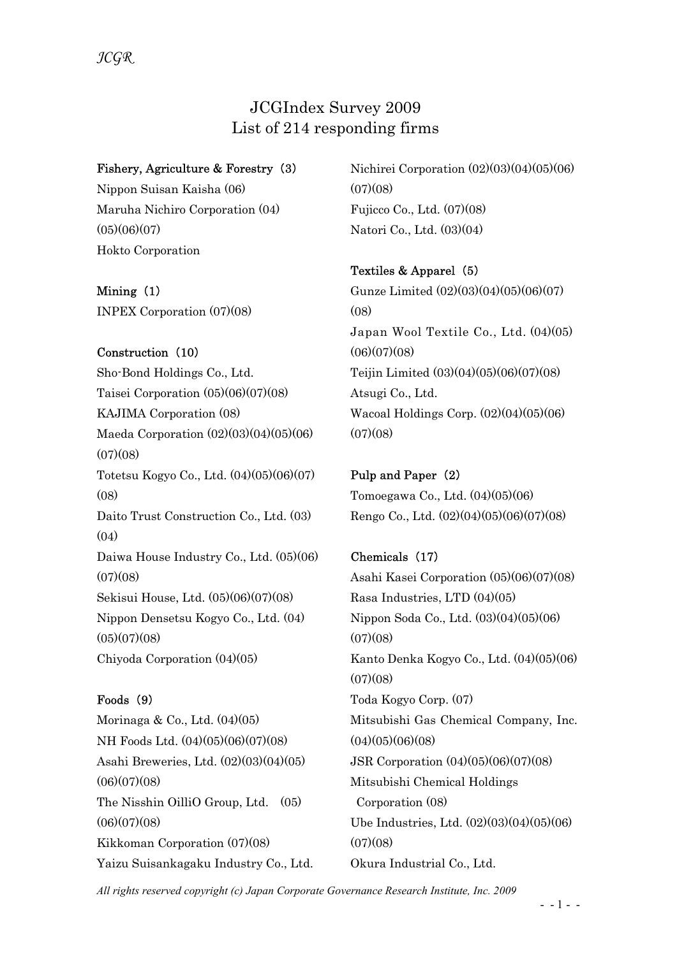# JCGIndex Survey 2009 List of 214 responding firms

## Fishery, Agriculture & Forestry (3)

Nippon Suisan Kaisha (06) Maruha Nichiro Corporation (04)  $(05)(06)(07)$ Hokto Corporation

Mining (1) INPEX Corporation (07)(08)

## Construction (10)

Sho-Bond Holdings Co., Ltd. Taisei Corporation (05)(06)(07)(08) KAJIMA Corporation (08) Maeda Corporation (02)(03)(04)(05)(06)  $(07)(08)$ Totetsu Kogyo Co., Ltd. (04)(05)(06)(07)  $(08)$ Daito Trust Construction Co., Ltd. (03)  $(04)$ Daiwa House Industry Co., Ltd. (05)(06)  $(07)(08)$ Sekisui House, Ltd. (05)(06)(07)(08) Nippon Densetsu Kogyo Co., Ltd. (04)  $(05)(07)(08)$ Chiyoda Corporation (04)(05)

## Foods (9)

Morinaga & Co., Ltd. (04)(05) NH Foods Ltd. (04)(05)(06)(07)(08) Asahi Breweries, Ltd. (02)(03)(04)(05)  $(06)(07)(08)$ The Nisshin OilliO Group, Ltd. (05)  $(06)(07)(08)$ Kikkoman Corporation (07)(08) Yaizu Suisankagaku Industry Co., Ltd. Nichirei Corporation (02)(03)(04)(05)(06)  $(07)(08)$ Fujicco Co., Ltd. (07)(08) Natori Co., Ltd. (03)(04)

## Textiles & Apparel (5)

Gunze Limited (02)(03)(04)(05)(06)(07) (08) Japan Wool Textile Co., Ltd. (04)(05)  $(06)(07)(08)$ Teijin Limited (03)(04)(05)(06)(07)(08) Atsugi Co., Ltd. Wacoal Holdings Corp. (02)(04)(05)(06)  $(07)(08)$ 

Pulp and Paper (2) Tomoegawa Co., Ltd. (04)(05)(06) Rengo Co., Ltd. (02)(04)(05)(06)(07)(08)

## Chemicals (17)

Asahi Kasei Corporation (05)(06)(07)(08) Rasa Industries, LTD (04)(05) Nippon Soda Co., Ltd. (03)(04)(05)(06)  $(07)(08)$ Kanto Denka Kogyo Co., Ltd. (04)(05)(06)  $(07)(08)$ Toda Kogyo Corp. (07) Mitsubishi Gas Chemical Company, Inc.  $(04)(05)(06)(08)$ JSR Corporation (04)(05)(06)(07)(08) Mitsubishi Chemical Holdings Corporation (08) Ube Industries, Ltd. (02)(03)(04)(05)(06)  $(07)(08)$ Okura Industrial Co., Ltd.

All rights reserved copyright (c) Japan Corporate Governance Research Institute, Inc. 2009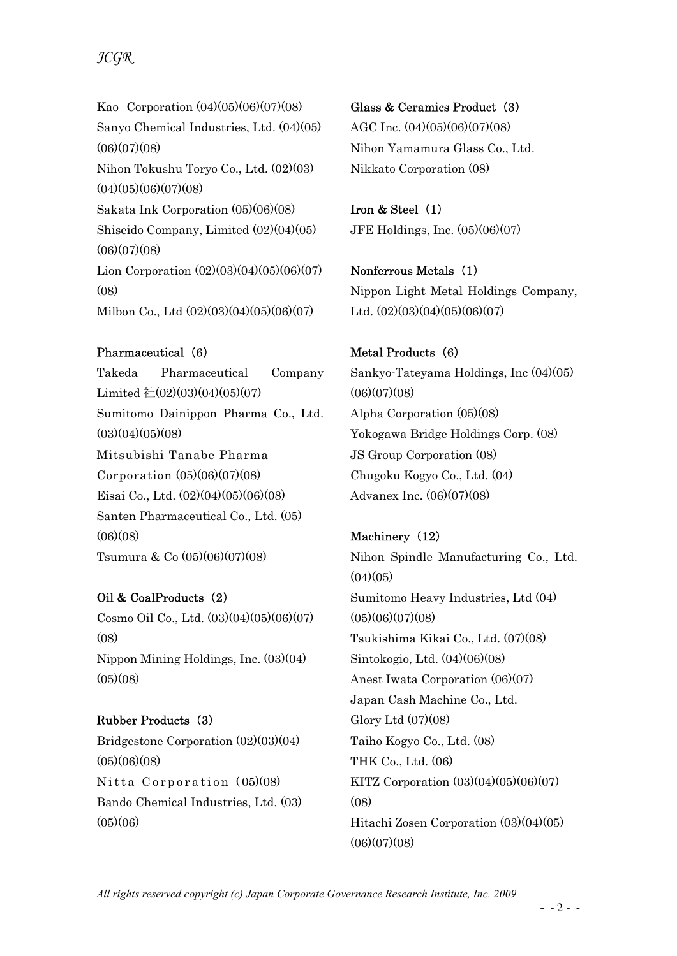# JCGR

Kao Corporation (04)(05)(06)(07)(08) Sanyo Chemical Industries, Ltd. (04)(05)  $(06)(07)(08)$ Nihon Tokushu Toryo Co., Ltd. (02)(03)  $(04)(05)(06)(07)(08)$ Sakata Ink Corporation (05)(06)(08) Shiseido Company, Limited (02)(04)(05)  $(06)(07)(08)$ Lion Corporation  $(02)(03)(04)(05)(06)(07)$ (08) Milbon Co., Ltd (02)(03)(04)(05)(06)(07)

### Pharmaceutical (6)

Takeda Pharmaceutical Company Limited  $\pm (02)(03)(04)(05)(07)$ Sumitomo Dainippon Pharma Co., Ltd.  $(03)(04)(05)(08)$ Mitsubishi Tanabe Pharma Corporation (05)(06)(07)(08) Eisai Co., Ltd. (02)(04)(05)(06)(08) Santen Pharmaceutical Co., Ltd. (05)  $(06)(08)$ Tsumura & Co (05)(06)(07)(08)

## Oil & CoalProducts (2)

Cosmo Oil Co., Ltd. (03)(04)(05)(06)(07) (08) Nippon Mining Holdings, Inc. (03)(04)  $(05)(08)$ 

#### Rubber Products (3)

Bridgestone Corporation (02)(03)(04)  $(05)(06)(08)$ Nitta Corporation  $(05)(08)$ Bando Chemical Industries, Ltd. (03)  $(05)(06)$ 

Glass & Ceramics Product (3) AGC Inc. (04)(05)(06)(07)(08) Nihon Yamamura Glass Co., Ltd. Nikkato Corporation (08)

Iron & Steel (1) JFE Holdings, Inc. (05)(06)(07)

Nonferrous Metals (1) Nippon Light Metal Holdings Company, Ltd.  $(02)(03)(04)(05)(06)(07)$ 

### Metal Products (6)

Sankyo-Tateyama Holdings, Inc (04)(05)  $(06)(07)(08)$ Alpha Corporation (05)(08) Yokogawa Bridge Holdings Corp. (08) JS Group Corporation (08) Chugoku Kogyo Co., Ltd. (04) Advanex Inc. (06)(07)(08)

## Machinery (12)

Nihon Spindle Manufacturing Co., Ltd.  $(04)(05)$ Sumitomo Heavy Industries, Ltd (04)  $(05)(06)(07)(08)$ Tsukishima Kikai Co., Ltd. (07)(08) Sintokogio, Ltd. (04)(06)(08) Anest Iwata Corporation (06)(07) Japan Cash Machine Co., Ltd. Glory Ltd (07)(08) Taiho Kogyo Co., Ltd. (08) THK Co., Ltd. (06) KITZ Corporation (03)(04)(05)(06)(07) (08) Hitachi Zosen Corporation (03)(04)(05)  $(06)(07)(08)$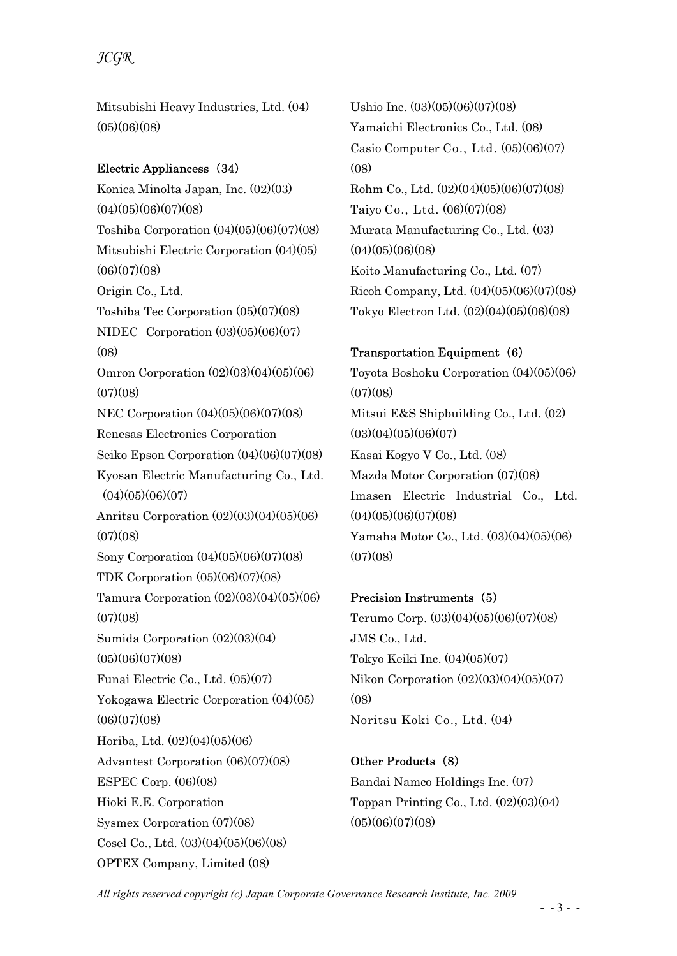## JCGR

Mitsubishi Heavy Industries, Ltd. (04)  $(05)(06)(08)$ 

#### Electric Appliancess (34)

Konica Minolta Japan, Inc. (02)(03)  $(04)(05)(06)(07)(08)$ Toshiba Corporation (04)(05)(06)(07)(08) Mitsubishi Electric Corporation (04)(05)  $(06)(07)(08)$ Origin Co., Ltd. Toshiba Tec Corporation (05)(07)(08) NIDEC Corporation (03)(05)(06)(07) (08) Omron Corporation (02)(03)(04)(05)(06)  $(07)(08)$ NEC Corporation (04)(05)(06)(07)(08) Renesas Electronics Corporation Seiko Epson Corporation (04)(06)(07)(08) Kyosan Electric Manufacturing Co., Ltd.  $(04)(05)(06)(07)$ Anritsu Corporation (02)(03)(04)(05)(06)  $(07)(08)$ Sony Corporation (04)(05)(06)(07)(08) TDK Corporation (05)(06)(07)(08) Tamura Corporation (02)(03)(04)(05)(06)  $(07)(08)$ Sumida Corporation (02)(03)(04)  $(05)(06)(07)(08)$ Funai Electric Co., Ltd. (05)(07) Yokogawa Electric Corporation (04)(05)  $(06)(07)(08)$ Horiba, Ltd. (02)(04)(05)(06) Advantest Corporation (06)(07)(08) ESPEC Corp. (06)(08) Hioki E.E. Corporation Sysmex Corporation (07)(08) Cosel Co., Ltd. (03)(04)(05)(06)(08) OPTEX Company, Limited (08)

Ushio Inc. (03)(05)(06)(07)(08) Yamaichi Electronics Co., Ltd. (08) Casio Computer Co., Ltd. (05)(06)(07)  $(08)$ Rohm Co., Ltd. (02)(04)(05)(06)(07)(08) Taiyo Co., Ltd. (06)(07)(08) Murata Manufacturing Co., Ltd. (03)  $(04)(05)(06)(08)$ Koito Manufacturing Co., Ltd. (07) Ricoh Company, Ltd. (04)(05)(06)(07)(08) Tokyo Electron Ltd. (02)(04)(05)(06)(08)

#### Transportation Equipment (6)

Toyota Boshoku Corporation (04)(05)(06)  $(07)(08)$ Mitsui E&S Shipbuilding Co., Ltd. (02)  $(03)(04)(05)(06)(07)$ Kasai Kogyo V Co., Ltd. (08) Mazda Motor Corporation (07)(08) Imasen Electric Industrial Co., Ltd.  $(04)(05)(06)(07)(08)$ Yamaha Motor Co., Ltd. (03)(04)(05)(06)  $(07)(08)$ 

#### Precision Instruments (5)

Terumo Corp. (03)(04)(05)(06)(07)(08) JMS Co., Ltd. Tokyo Keiki Inc. (04)(05)(07) Nikon Corporation (02)(03)(04)(05)(07)  $(08)$ Noritsu Koki Co., Ltd. (04)

Other Products (8) Bandai Namco Holdings Inc. (07) Toppan Printing Co., Ltd. (02)(03)(04)  $(05)(06)(07)(08)$ 

All rights reserved copyright (c) Japan Corporate Governance Research Institute, Inc. 2009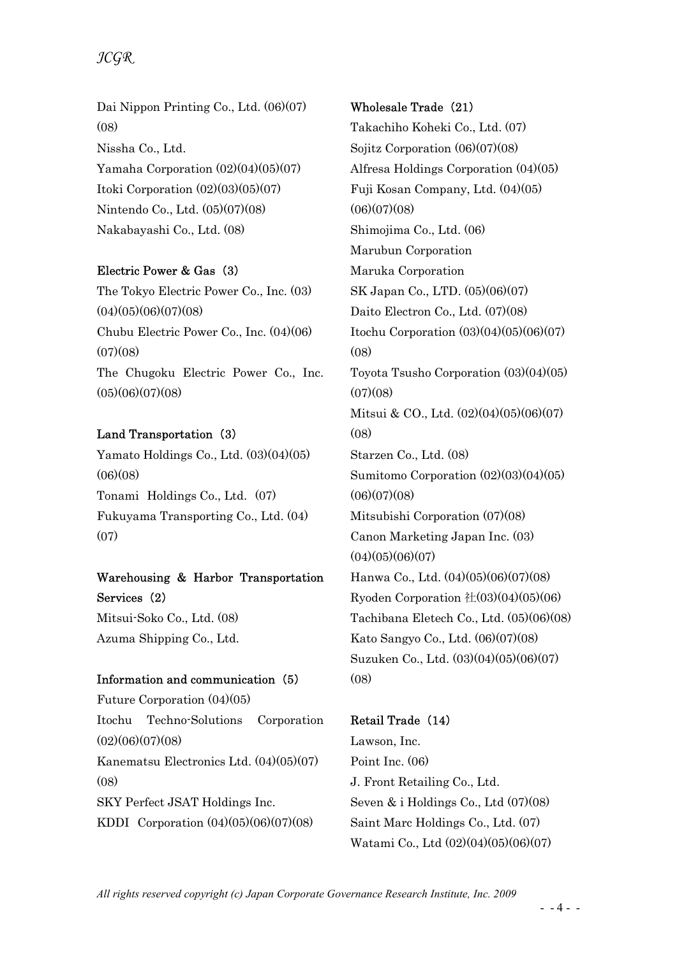Dai Nippon Printing Co., Ltd. (06)(07) (08) Nissha Co., Ltd. Yamaha Corporation (02)(04)(05)(07) Itoki Corporation (02)(03)(05)(07) Nintendo Co., Ltd. (05)(07)(08) Nakabayashi Co., Ltd. (08)

#### Electric Power & Gas (3)

The Tokyo Electric Power Co., Inc. (03)  $(04)(05)(06)(07)(08)$ Chubu Electric Power Co., Inc. (04)(06)  $(07)(08)$ The Chugoku Electric Power Co., Inc. (05)(06)(07)(08)

### Land Transportation (3)

Yamato Holdings Co., Ltd. (03)(04)(05)  $(06)(08)$ Tonami Holdings Co., Ltd. (07) Fukuyama Transporting Co., Ltd. (04) (07)

## Warehousing & Harbor Transportation Services (2)

Mitsui-Soko Co., Ltd. (08) Azuma Shipping Co., Ltd.

#### Information and communication (5)

Future Corporation (04)(05) Itochu Techno-Solutions Corporation  $(02)(06)(07)(08)$ Kanematsu Electronics Ltd. (04)(05)(07)  $(08)$ SKY Perfect JSAT Holdings Inc. KDDI Corporation (04)(05)(06)(07)(08)

### Wholesale Trade (21)

Takachiho Koheki Co., Ltd. (07) Sojitz Corporation (06)(07)(08) Alfresa Holdings Corporation (04)(05) Fuji Kosan Company, Ltd. (04)(05)  $(06)(07)(08)$ Shimojima Co., Ltd. (06) Marubun Corporation Maruka Corporation SK Japan Co., LTD. (05)(06)(07) Daito Electron Co., Ltd. (07)(08) Itochu Corporation (03)(04)(05)(06)(07)  $(08)$ Toyota Tsusho Corporation (03)(04)(05)  $(07)(08)$ Mitsui & CO., Ltd. (02)(04)(05)(06)(07)  $(08)$ Starzen Co., Ltd. (08) Sumitomo Corporation (02)(03)(04)(05)  $(06)(07)(08)$ Mitsubishi Corporation (07)(08) Canon Marketing Japan Inc. (03)  $(04)(05)(06)(07)$ Hanwa Co., Ltd. (04)(05)(06)(07)(08) Ryoden Corporation  $\pm (03)(04)(05)(06)$ Tachibana Eletech Co., Ltd. (05)(06)(08) Kato Sangyo Co., Ltd. (06)(07)(08) Suzuken Co., Ltd. (03)(04)(05)(06)(07)  $(08)$ 

## Retail Trade (14)

Lawson, Inc. Point Inc. (06) J. Front Retailing Co., Ltd. Seven & i Holdings Co., Ltd (07)(08) Saint Marc Holdings Co., Ltd. (07) Watami Co., Ltd (02)(04)(05)(06)(07)